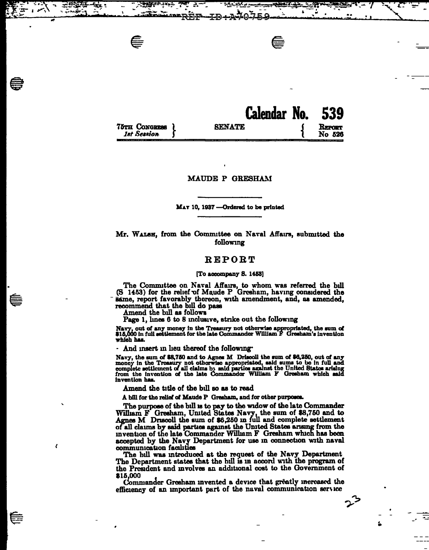|                                     | Calendar No. 539 |                  |
|-------------------------------------|------------------|------------------|
| 75TH CONGRESS<br><b>1st Session</b> | <b>SENATE</b>    | REPORT<br>No 526 |

### MAUDE P GRESHAM

#### MAT 10, 1937 - Ordered to be printed

## Mr. WALSH, from the Committee on Naval Affairs, submitted the following

# REPORT

#### [To accompany S. 1453]

The Committee on Naval Affairs, to whom was referred the bill<br>(S 1453) for the relief of Maude P Gresham, having considered the same, report favorably thereon, with amendment, and, as amended, recommend that the bill do pass

Amend the bill as follows

 $\epsilon$ 

Page 1, lines 6 to 8 inclusive, strike out the following

Navy, out of any money in the Treasury not otherwise appropriated, the sum of \$15,000 in full settlement for the late Commander William F Greeham's invention which has.

And insert in lieu thereof the following.

Navy, the sum of \$8,750 and to Agnes M Driscoll the sum of \$6,250, out of any money in the Treasury not otherwise appropriated, said sums to be in full and complete settlement of all claims by said parties against the United States arising from the invention of the late Commander William F Greenam w invention has

Amend the title of the bill so as to read

A bill for the relief of Maude P Gresham, and for other purposes.

The purpose of the bill is to pay to the widow of the late Commander William F Gresham, United States Navy, the sum of \$8,750 and to Agnes M Driscoll the sum of \$6,250 in full and complete settlement of all claims by said parties against the United States arising from the invention of the late Commander William F Gresham which has been accepted by the Navy Department for use in connection with naval communication facilities

The bill was introduced at the request of the Navy Department The Department states that the bill is in accord with the program of the President and involves an additional cost to the Government of \$15,000

Commander Gresham invented a device that greatly increased the efficiency of an important part of the naval communication service